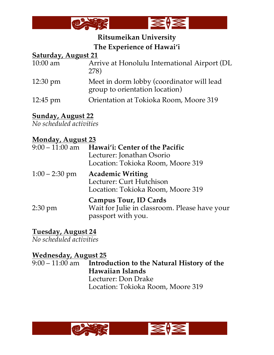

# **Ritsumeikan University The Experience of Hawai'i**

#### **Saturday, August 21**

| Arrive at Honolulu International Airport (DL<br>278)                        |
|-----------------------------------------------------------------------------|
| Meet in dorm lobby (coordinator will lead<br>group to orientation location) |
| Orientation at Tokioka Room, Moore 319                                      |
|                                                                             |

# **Sunday, August 22**

*No scheduled activities* 

## **Monday, August 23**

| $9:00 - 11:00$ am | Hawai'i: Center of the Pacific<br>Lecturer: Jonathan Osorio<br>Location: Tokioka Room, Moore 319    |
|-------------------|-----------------------------------------------------------------------------------------------------|
| $1:00 - 2:30$ pm  | <b>Academic Writing</b><br>Lecturer: Curt Hutchison<br>Location: Tokioka Room, Moore 319            |
| $2:30 \text{ pm}$ | <b>Campus Tour, ID Cards</b><br>Wait for Julie in classroom. Please have your<br>passport with you. |

#### **Tuesday, August 24**

*No scheduled activities*

## **Wednesday, August 25**

9:00 – 11:00 am **Introduction to the Natural History of the Hawaiian Islands** Lecturer: Don Drake Location: Tokioka Room, Moore 319

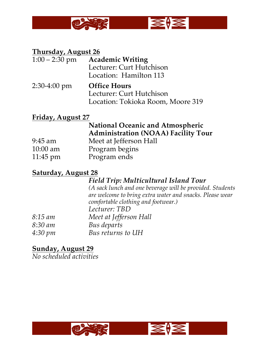

#### **Thursday, August 26**

- 1:00 2:30 pm **Academic Writing** Lecturer: Curt Hutchison Location: Hamilton 113
- 2:30-4:00 pm **Office Hours** Lecturer: Curt Hutchison Location: Tokioka Room, Moore 319

#### **Friday, August 27**

# **National Oceanic and Atmospheric Administration (NOAA) Facility Tour**

9:45 am Meet at Jefferson Hall 10:00 am Program begins 11:45 pm Program ends

#### **Saturday, August 28**

#### *Field Trip: Multicultural Island Tour*

*(A sack lunch and one beverage will be provided. Students are welcome to bring extra water and snacks. Please wear comfortable clothing and footwear.) Lecturer: TBD 8:15 am Meet at Jefferson Hall*

- *8:30 am Bus departs*
- *4:30 pm Bus returns to UH*

## **Sunday, August 29**

*No scheduled activities*

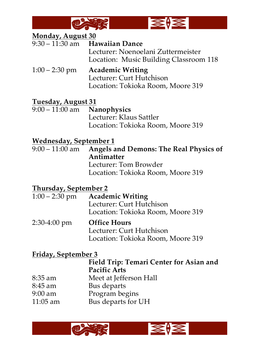



#### **Monday, August 30**

| $9:30 - 11:30$ am Hawaiian Dance       |
|----------------------------------------|
| Lecturer: Noenoelani Zuttermeister     |
| Location: Music Building Classroom 118 |
| $1:00 - 2:30$ pm Academic Writing      |

Lecturer: Curt Hutchison Location: Tokioka Room, Moore 319

# **Tuesday, August 31**

Nanophysics Lecturer: Klaus Sattler Location: Tokioka Room, Moore 319

#### **Wednesday, September 1**

9:00 – 11:00 am **Angels and Demons: The Real Physics of Antimatter** Lecturer: Tom Browder Location: Tokioka Room, Moore 319

#### **Thursday, September 2**

|              | $1:00 - 2:30$ pm Academic Writing        |
|--------------|------------------------------------------|
|              | Lecturer: Curt Hutchison                 |
|              | Location: Tokioka Room, Moore 319        |
| 2:30-4:00 pm | <b>Office Hours</b><br>T. 2007. TT 2 1 1 |

# Lecturer: Curt Hutchison Location: Tokioka Room, Moore 319

#### **Friday, September 3**

# **Field Trip: Temari Center for Asian and Pacific Arts**

- 8:35 am Meet at Jefferson Hall
- 8:45 am Bus departs
- 9:00 am Program begins
- 11:05 am Bus departs for UH

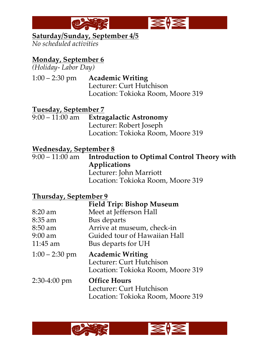



#### **Saturday/Sunday, September 4/5**

*No scheduled activities*

# **Monday, September 6**

*(Holiday- Labor Day)*

1:00 – 2:30 pm **Academic Writing** Lecturer: Curt Hutchison Location: Tokioka Room, Moore 319

# **Tuesday, September 7**

**Extragalactic Astronomy** Lecturer: Robert Joseph Location: Tokioka Room, Moore 319

# **Wednesday, September 8**<br>9:00 – 11:00 am **Introduc**

**Introduction to Optimal Control Theory with Applications** Lecturer: John Marriott Location: Tokioka Room, Moore 319

# **Thursday, September 9**

|                  | <b>Field Trip: Bishop Museum</b>                              |
|------------------|---------------------------------------------------------------|
| $8:20$ am        | Meet at Jefferson Hall                                        |
| $8:35$ am        | Bus departs                                                   |
| $8:50$ am        | Arrive at museum, check-in                                    |
| $9:00$ am        | Guided tour of Hawaiian Hall                                  |
| $11:45$ am       | Bus departs for UH                                            |
| $1:00 - 2:30$ pm | <b>Academic Writing</b>                                       |
|                  | Lecturer: Curt Hutchison<br>Location: Tokioka Room, Moore 319 |



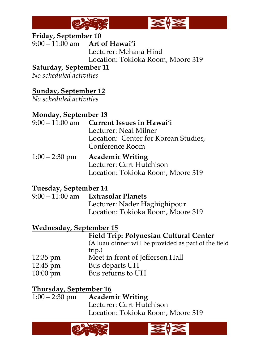



# **Friday, September 10**<br>9:00 – 11:00 am **Art**

Art of Hawai'i Lecturer: Mehana Hind Location: Tokioka Room, Moore 319

## **Saturday, September 11**

*No scheduled activities*

# **Sunday, September 12**

*No scheduled activities*

# **Monday, September 13**

- 9:00 11:00 am **Current Issues in Hawai'i** Lecturer: Neal Milner Location: Center for Korean Studies, Conference Room
- 1:00 2:30 pm **Academic Writing** Lecturer: Curt Hutchison Location: Tokioka Room, Moore 319

## **Tuesday, September 14**

9:00 – 11:00 am **Extrasolar Planets** Lecturer: Nader Haghighipour Location: Tokioka Room, Moore 319

## **Wednesday, September 15**

#### **Field Trip: Polynesian Cultural Center**

(A luau dinner will be provided as part of the field trip.)

- 12:35 pm Meet in front of Jefferson Hall
- 12:45 pm Bus departs UH
- 10:00 pm Bus returns to UH

**Thursday, September 16**<br>1:00 – 2:30 pm **Academic Writing**  $1:00 - 2:30 \text{ pm}$ Lecturer: Curt Hutchison Location: Tokioka Room, Moore 319